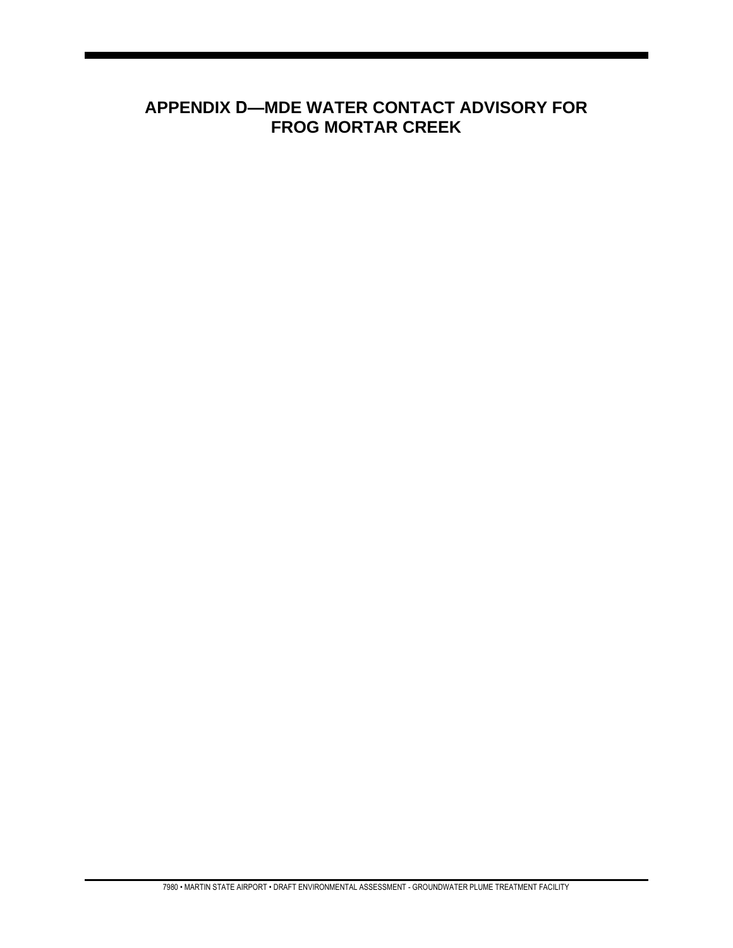## **APPENDIX D—MDE WATER CONTACT ADVISORY FOR FROG MORTAR CREEK**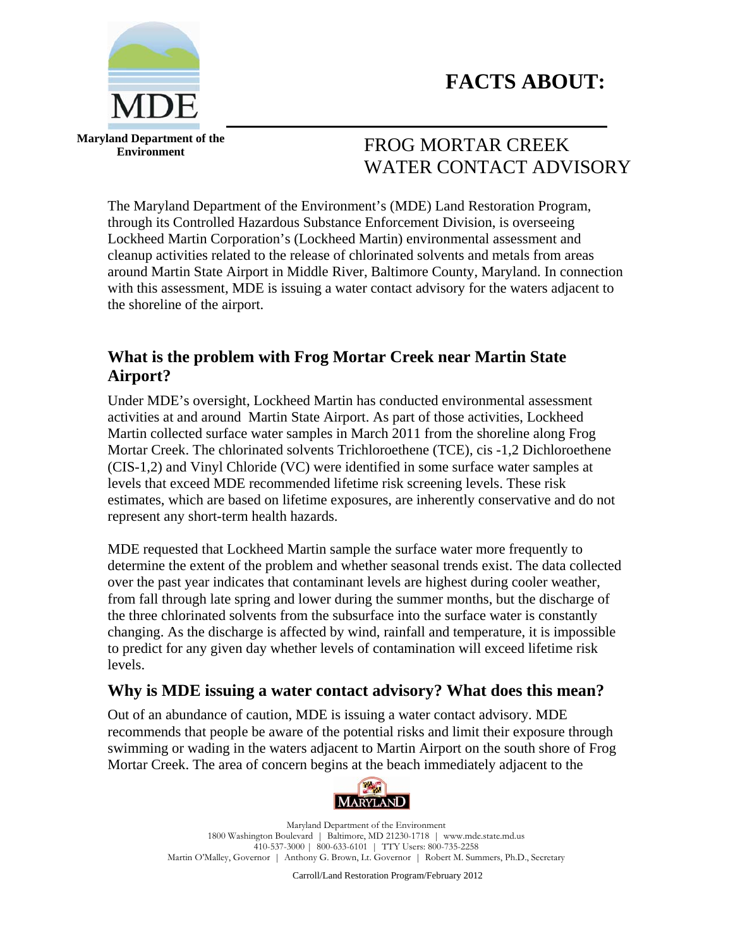



**Maryland Department of the Environment** 

# FROG MORTAR CREEK WATER CONTACT ADVISORY

The Maryland Department of the Environment's (MDE) Land Restoration Program, through its Controlled Hazardous Substance Enforcement Division, is overseeing Lockheed Martin Corporation's (Lockheed Martin) environmental assessment and cleanup activities related to the release of chlorinated solvents and metals from areas around Martin State Airport in Middle River, Baltimore County, Maryland. In connection with this assessment, MDE is issuing a water contact advisory for the waters adjacent to the shoreline of the airport.

## **What is the problem with Frog Mortar Creek near Martin State Airport?**

Under MDE's oversight, Lockheed Martin has conducted environmental assessment activities at and around Martin State Airport. As part of those activities, Lockheed Martin collected surface water samples in March 2011 from the shoreline along Frog Mortar Creek. The chlorinated solvents Trichloroethene (TCE), cis -1,2 Dichloroethene (CIS-1,2) and Vinyl Chloride (VC) were identified in some surface water samples at levels that exceed MDE recommended lifetime risk screening levels. These risk estimates, which are based on lifetime exposures, are inherently conservative and do not represent any short-term health hazards.

MDE requested that Lockheed Martin sample the surface water more frequently to determine the extent of the problem and whether seasonal trends exist. The data collected over the past year indicates that contaminant levels are highest during cooler weather, from fall through late spring and lower during the summer months, but the discharge of the three chlorinated solvents from the subsurface into the surface water is constantly changing. As the discharge is affected by wind, rainfall and temperature, it is impossible to predict for any given day whether levels of contamination will exceed lifetime risk levels.

#### **Why is MDE issuing a water contact advisory? What does this mean?**

Out of an abundance of caution, MDE is issuing a water contact advisory. MDE recommends that people be aware of the potential risks and limit their exposure through swimming or wading in the waters adjacent to Martin Airport on the south shore of Frog Mortar Creek. The area of concern begins at the beach immediately adjacent to the



Maryland Department of the Environment 1800 Washington Boulevard | Baltimore, MD 21230-1718 | www.mde.state.md.us 410-537-3000 | 800-633-6101 | TTY Users: 800-735-2258 Martin O'Malley, Governor | Anthony G. Brown, Lt. Governor | Robert M. Summers, Ph.D., Secretary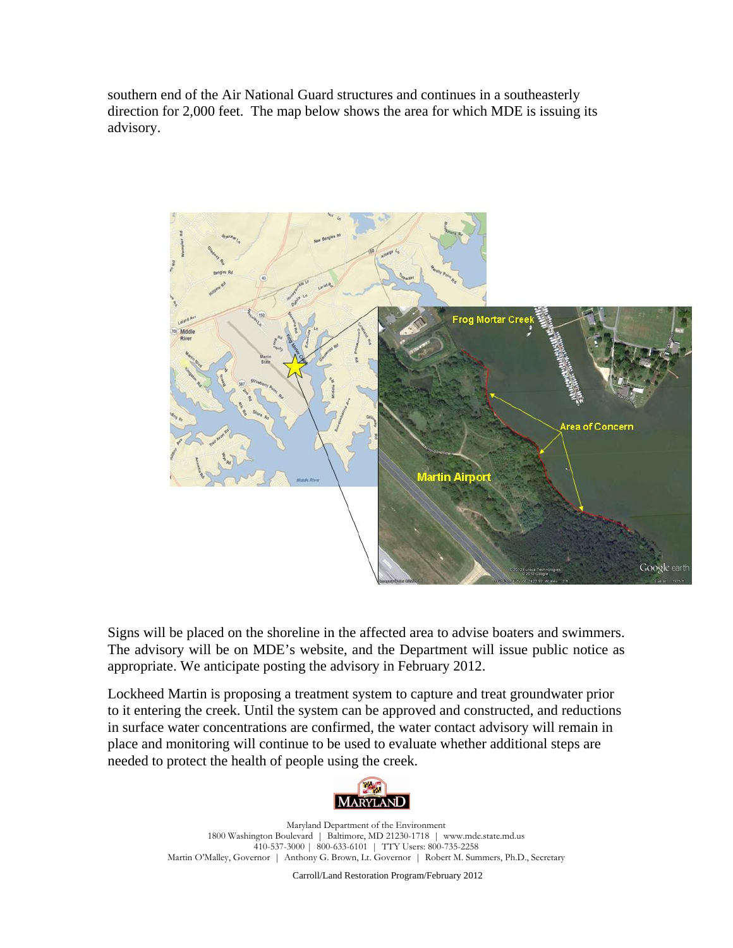southern end of the Air National Guard structures and continues in a southeasterly direction for 2,000 feet. The map below shows the area for which MDE is issuing its advisory.



Signs will be placed on the shoreline in the affected area to advise boaters and swimmers. The advisory will be on MDE's website, and the Department will issue public notice as appropriate. We anticipate posting the advisory in February 2012.

Lockheed Martin is proposing a treatment system to capture and treat groundwater prior to it entering the creek. Until the system can be approved and constructed, and reductions in surface water concentrations are confirmed, the water contact advisory will remain in place and monitoring will continue to be used to evaluate whether additional steps are needed to protect the health of people using the creek.



Maryland Department of the Environment 1800 Washington Boulevard | Baltimore, MD 21230-1718 | www.mde.state.md.us 410-537-3000 | 800-633-6101 | TTY Users: 800-735-2258 Martin O'Malley, Governor | Anthony G. Brown, Lt. Governor | Robert M. Summers, Ph.D., Secretary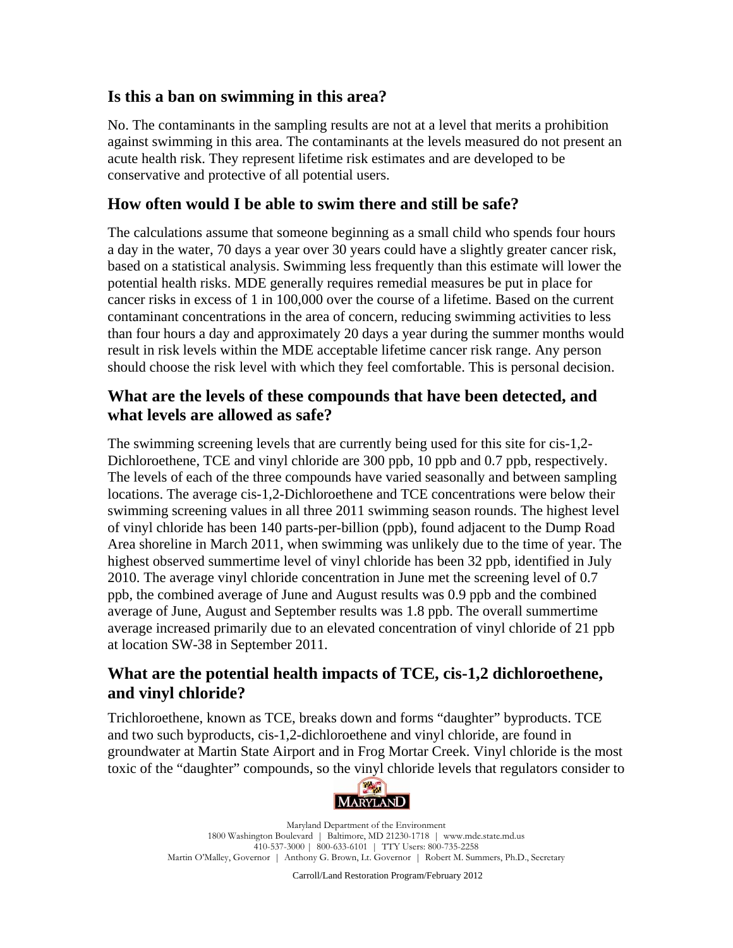#### **Is this a ban on swimming in this area?**

No. The contaminants in the sampling results are not at a level that merits a prohibition against swimming in this area. The contaminants at the levels measured do not present an acute health risk. They represent lifetime risk estimates and are developed to be conservative and protective of all potential users.

#### **How often would I be able to swim there and still be safe?**

The calculations assume that someone beginning as a small child who spends four hours a day in the water, 70 days a year over 30 years could have a slightly greater cancer risk, based on a statistical analysis. Swimming less frequently than this estimate will lower the potential health risks. MDE generally requires remedial measures be put in place for cancer risks in excess of 1 in 100,000 over the course of a lifetime. Based on the current contaminant concentrations in the area of concern, reducing swimming activities to less than four hours a day and approximately 20 days a year during the summer months would result in risk levels within the MDE acceptable lifetime cancer risk range. Any person should choose the risk level with which they feel comfortable. This is personal decision.

#### **What are the levels of these compounds that have been detected, and what levels are allowed as safe?**

The swimming screening levels that are currently being used for this site for cis-1,2- Dichloroethene, TCE and vinyl chloride are 300 ppb, 10 ppb and 0.7 ppb, respectively. The levels of each of the three compounds have varied seasonally and between sampling locations. The average cis-1,2-Dichloroethene and TCE concentrations were below their swimming screening values in all three 2011 swimming season rounds. The highest level of vinyl chloride has been 140 parts-per-billion (ppb), found adjacent to the Dump Road Area shoreline in March 2011, when swimming was unlikely due to the time of year. The highest observed summertime level of vinyl chloride has been 32 ppb, identified in July 2010. The average vinyl chloride concentration in June met the screening level of 0.7 ppb, the combined average of June and August results was 0.9 ppb and the combined average of June, August and September results was 1.8 ppb. The overall summertime average increased primarily due to an elevated concentration of vinyl chloride of 21 ppb at location SW-38 in September 2011.

## **What are the potential health impacts of TCE, cis-1,2 dichloroethene, and vinyl chloride?**

Trichloroethene, known as TCE, breaks down and forms "daughter" byproducts. TCE and two such byproducts, cis-1,2-dichloroethene and vinyl chloride, are found in groundwater at Martin State Airport and in Frog Mortar Creek. Vinyl chloride is the most toxic of the "daughter" compounds, so the vinyl chloride levels that regulators consider to



Maryland Department of the Environment 1800 Washington Boulevard | Baltimore, MD 21230-1718 | www.mde.state.md.us 410-537-3000 | 800-633-6101 | TTY Users: 800-735-2258 Martin O'Malley, Governor | Anthony G. Brown, Lt. Governor | Robert M. Summers, Ph.D., Secretary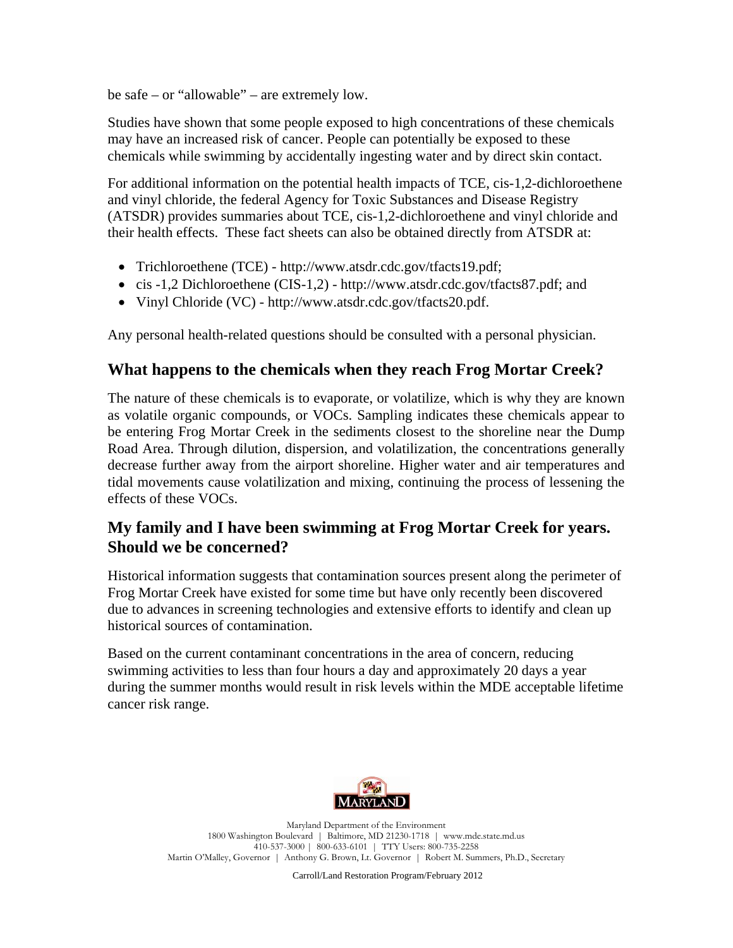be safe – or "allowable" – are extremely low.

Studies have shown that some people exposed to high concentrations of these chemicals may have an increased risk of cancer. People can potentially be exposed to these chemicals while swimming by accidentally ingesting water and by direct skin contact.

For additional information on the potential health impacts of TCE, cis-1,2-dichloroethene and vinyl chloride, the federal Agency for Toxic Substances and Disease Registry (ATSDR) provides summaries about TCE, cis-1,2-dichloroethene and vinyl chloride and their health effects. These fact sheets can also be obtained directly from ATSDR at:

- Trichloroethene (TCE) http://www.atsdr.cdc.gov/tfacts19.pdf;
- cis -1,2 Dichloroethene (CIS-1,2) http://www.atsdr.cdc.gov/tfacts87.pdf; and
- Vinyl Chloride (VC) http://www.atsdr.cdc.gov/tfacts20.pdf.

Any personal health-related questions should be consulted with a personal physician.

## **What happens to the chemicals when they reach Frog Mortar Creek?**

The nature of these chemicals is to evaporate, or volatilize, which is why they are known as volatile organic compounds, or VOCs. Sampling indicates these chemicals appear to be entering Frog Mortar Creek in the sediments closest to the shoreline near the Dump Road Area. Through dilution, dispersion, and volatilization, the concentrations generally decrease further away from the airport shoreline. Higher water and air temperatures and tidal movements cause volatilization and mixing, continuing the process of lessening the effects of these VOCs.

## **My family and I have been swimming at Frog Mortar Creek for years. Should we be concerned?**

Historical information suggests that contamination sources present along the perimeter of Frog Mortar Creek have existed for some time but have only recently been discovered due to advances in screening technologies and extensive efforts to identify and clean up historical sources of contamination.

Based on the current contaminant concentrations in the area of concern, reducing swimming activities to less than four hours a day and approximately 20 days a year during the summer months would result in risk levels within the MDE acceptable lifetime cancer risk range.



Maryland Department of the Environment 1800 Washington Boulevard | Baltimore, MD 21230-1718 | www.mde.state.md.us 410-537-3000 | 800-633-6101 | TTY Users: 800-735-2258 Martin O'Malley, Governor | Anthony G. Brown, Lt. Governor | Robert M. Summers, Ph.D., Secretary